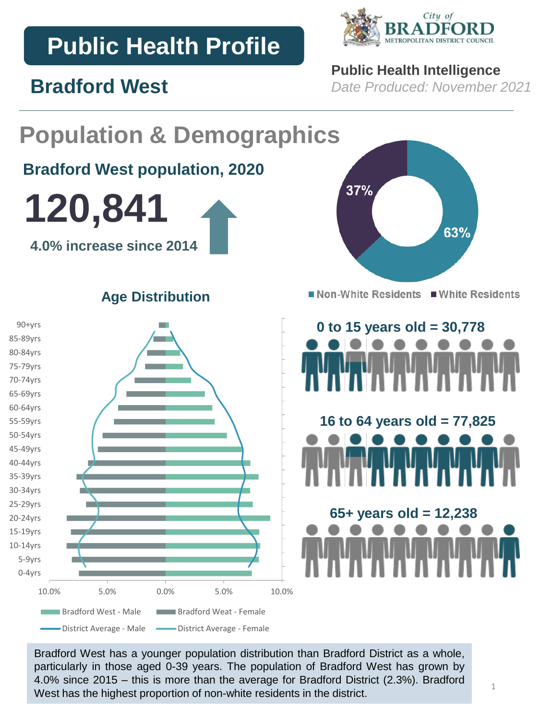# **Public Health Profile**



## **Public Health Intelligence**

*Date Produced: November 2021*

## **Bradford West**



Bradford West has a younger population distribution than Bradford District as a whole, particularly in those aged 0-39 years. The population of Bradford West has grown by 4.0% since 2015 – this is more than the average for Bradford District (2.3%). Bradford West has the highest proportion of non-white residents in the district.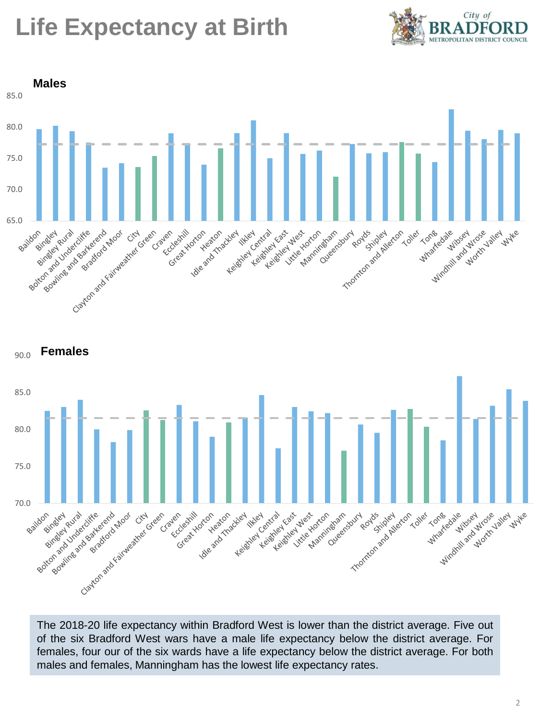# **Life Expectancy at Birth**









The 2018-20 life expectancy within Bradford West is lower than the district average. Five out of the six Bradford West wars have a male life expectancy below the district average. For females, four our of the six wards have a life expectancy below the district average. For both males and females, Manningham has the lowest life expectancy rates.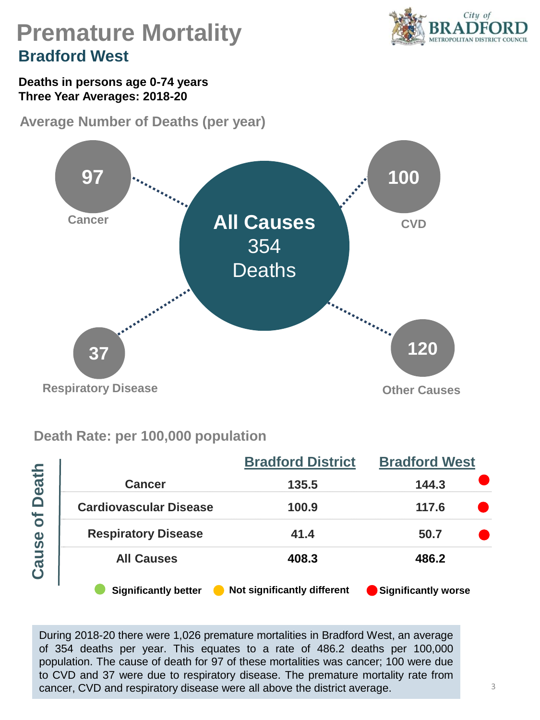

## **Premature Mortality Bradford West**

#### **Deaths in persons age 0-74 years Three Year Averages: 2018-20**

**Average Number of Deaths (per year)** 



### **Death Rate: per 100,000 population**

|            |                                          | <b>Bradford District</b>    | <b>Bradford West</b><br>144.3<br>117.6<br>50.7 |  |  |
|------------|------------------------------------------|-----------------------------|------------------------------------------------|--|--|
| eath       | Cancer                                   | 135.5                       |                                                |  |  |
| Ŏ<br>`o    | <b>Cardiovascular Disease</b>            | 100.9                       |                                                |  |  |
| <b>Se</b>  | <b>Respiratory Disease</b>               | 41.4                        |                                                |  |  |
| <b>UBO</b> | <b>All Causes</b>                        | 408.3                       | 486.2                                          |  |  |
|            | <b>Significantly better</b><br>$\bullet$ | Not significantly different | Significantly worse                            |  |  |

During 2018-20 there were 1,026 premature mortalities in Bradford West, an average of 354 deaths per year. This equates to a rate of 486.2 deaths per 100,000 population. The cause of death for 97 of these mortalities was cancer; 100 were due to CVD and 37 were due to respiratory disease. The premature mortality rate from cancer, CVD and respiratory disease were all above the district average.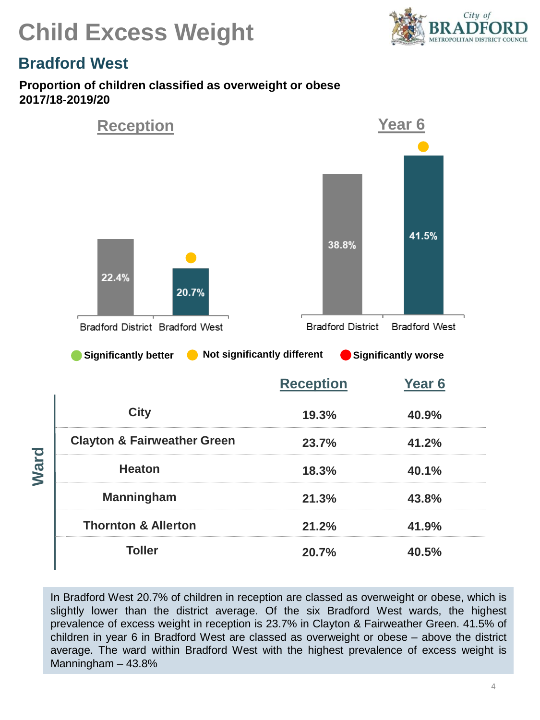



### **Bradford West**

#### **Proportion of children classified as overweight or obese 2017/18-2019/20**



In Bradford West 20.7% of children in reception are classed as overweight or obese, which is slightly lower than the district average. Of the six Bradford West wards, the highest prevalence of excess weight in reception is 23.7% in Clayton & Fairweather Green. 41.5% of children in year 6 in Bradford West are classed as overweight or obese – above the district average. The ward within Bradford West with the highest prevalence of excess weight is Manningham – 43.8%